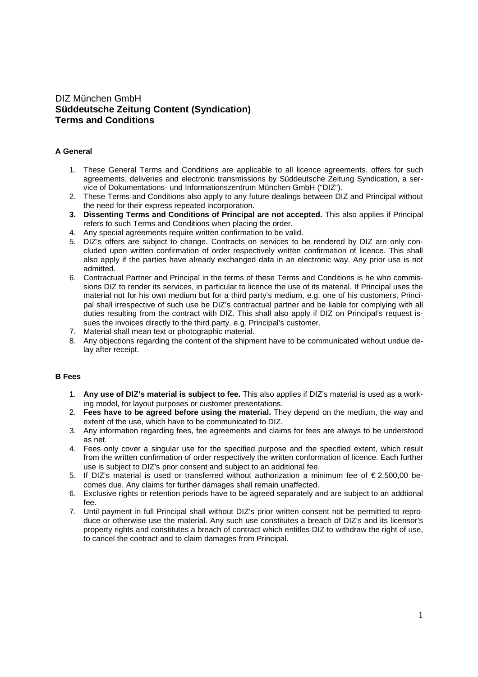# DIZ München GmbH **Süddeutsche Zeitung Content (Syndication) Terms and Conditions**

# **A General**

- 1. These General Terms and Conditions are applicable to all licence agreements, offers for such agreements, deliveries and electronic transmissions by Süddeutsche Zeitung Syndication, a service of Dokumentations- und Informationszentrum München GmbH ("DIZ").
- 2. These Terms and Conditions also apply to any future dealings between DIZ and Principal without the need for their express repeated incorporation.
- **3. Dissenting Terms and Conditions of Principal are not accepted.** This also applies if Principal refers to such Terms and Conditions when placing the order.
- 4. Any special agreements require written confirmation to be valid.
- 5. DIZ's offers are subject to change. Contracts on services to be rendered by DIZ are only concluded upon written confirmation of order respectively written confirmation of licence. This shall also apply if the parties have already exchanged data in an electronic way. Any prior use is not admitted.
- 6. Contractual Partner and Principal in the terms of these Terms and Conditions is he who commissions DIZ to render its services, in particular to licence the use of its material. If Principal uses the material not for his own medium but for a third party's medium, e.g. one of his customers, Principal shall irrespective of such use be DIZ's contractual partner and be liable for complying with all duties resulting from the contract with DIZ. This shall also apply if DIZ on Principal's request issues the invoices directly to the third party, e.g. Principal's customer.
- 7. Material shall mean text or photographic material.
- 8. Any objections regarding the content of the shipment have to be communicated without undue delay after receipt.

### **B Fees**

- 1. **Any use of DIZ's material is subject to fee.** This also applies if DIZ's material is used as a working model, for layout purposes or customer presentations.
- 2. **Fees have to be agreed before using the material.** They depend on the medium, the way and extent of the use, which have to be communicated to DIZ.
- 3. Any information regarding fees, fee agreements and claims for fees are always to be understood as net.
- 4. Fees only cover a singular use for the specified purpose and the specified extent, which result from the written confirmation of order respectively the written conformation of licence. Each further use is subject to DIZ's prior consent and subject to an additional fee.
- 5. If DIZ's material is used or transferred without authorization a minimum fee of € 2.500,00 becomes due. Any claims for further damages shall remain unaffected.
- 6. Exclusive rights or retention periods have to be agreed separately and are subject to an addtional fee.
- 7. Until payment in full Principal shall without DIZ's prior written consent not be permitted to reproduce or otherwise use the material. Any such use constitutes a breach of DIZ's and its licensor's property rights and constitutes a breach of contract which entitles DIZ to withdraw the right of use, to cancel the contract and to claim damages from Principal.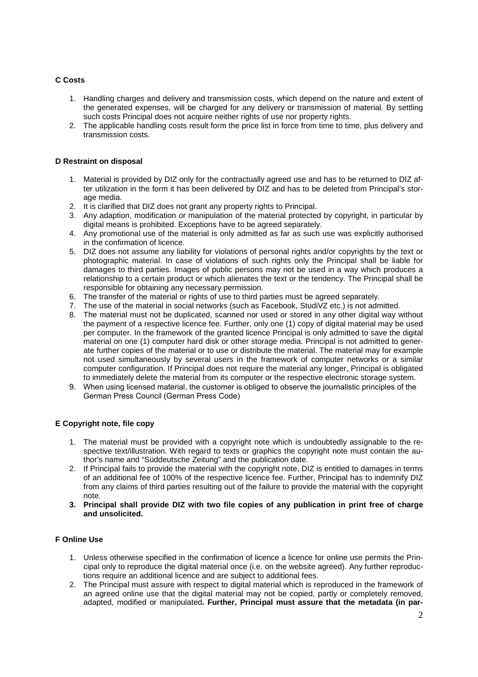# **C Costs**

- 1. Handling charges and delivery and transmission costs, which depend on the nature and extent of the generated expenses, will be charged for any delivery or transmission of material. By settling such costs Principal does not acquire neither rights of use nor property rights.
- 2. The applicable handling costs result form the price list in force from time to time, plus delivery and transmission costs.

## **D Restraint on disposal**

- 1. Material is provided by DIZ only for the contractually agreed use and has to be returned to DIZ after utilization in the form it has been delivered by DIZ and has to be deleted from Principal's storage media.
- 2. It is clarified that DIZ does not grant any property rights to Principal.
- 3. Any adaption, modification or manipulation of the material protected by copyright, in particular by digital means is prohibited. Exceptions have to be agreed separately.
- 4. Any promotional use of the material is only admitted as far as such use was explicitly authorised in the confirmation of licence.
- 5. DIZ does not assume any liability for violations of personal rights and/or copyrights by the text or photographic material. In case of violations of such rights only the Principal shall be liable for damages to third parties. Images of public persons may not be used in a way which produces a relationship to a certain product or which alienates the text or the tendency. The Principal shall be responsible for obtaining any necessary permission.
- 6. The transfer of the material or rights of use to third parties must be agreed separately.
- 7. The use of the material in social networks (such as Facebook, StudiVZ etc.) is not admitted.
- 8. The material must not be duplicated, scanned nor used or stored in any other digital way without the payment of a respective licence fee. Further, only one (1) copy of digital material may be used per computer. In the framework of the granted licence Principal is only admitted to save the digital material on one (1) computer hard disk or other storage media. Principal is not admitted to generate further copies of the material or to use or distribute the material. The material may for example not used simultaneously by several users in the framework of computer networks or a similar computer configuration. If Principal does not require the material any longer, Principal is obligated to immediately delete the material from its computer or the respective electronic storage system.
- 9. When using licensed material, the customer is obliged to observe the journalistic principles of the German Press Council (German Press Code)

# **E Copyright note, file copy**

- 1. The material must be provided with a copyright note which is undoubtedly assignable to the respective text/illustration. With regard to texts or graphics the copyright note must contain the author's name and "Süddeutsche Zeitung" and the publication date.
- 2. If Principal fails to provide the material with the copyright note, DIZ is entitled to damages in terms of an additional fee of 100% of the respective licence fee. Further, Principal has to indemnify DIZ from any claims of third parties resulting out of the failure to provide the material with the copyright note.
- **3. Principal shall provide DIZ with two file copies of any publication in print free of charge and unsolicited.**

### **F Online Use**

- 1. Unless otherwise specified in the confirmation of licence a licence for online use permits the Principal only to reproduce the digital material once (i.e. on the website agreed). Any further reproductions require an additional licence and are subject to additional fees.
- 2. The Principal must assure with respect to digital material which is reproduced in the framework of an agreed online use that the digital material may not be copied, partly or completely removed, adapted, modified or manipulated**. Further, Principal must assure that the metadata (in par-**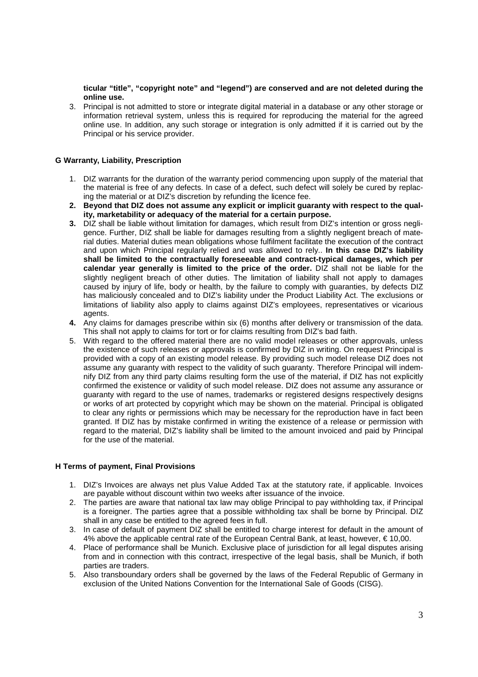**ticular "title", "copyright note" and "legend") are conserved and are not deleted during the online use.**

3. Principal is not admitted to store or integrate digital material in a database or any other storage or information retrieval system, unless this is required for reproducing the material for the agreed online use. In addition, any such storage or integration is only admitted if it is carried out by the Principal or his service provider.

### **G Warranty, Liability, Prescription**

- 1. DIZ warrants for the duration of the warranty period commencing upon supply of the material that the material is free of any defects. In case of a defect, such defect will solely be cured by replacing the material or at DIZ's discretion by refunding the licence fee.
- **2. Beyond that DIZ does not assume any explicit or implicit guaranty with respect to the quality, marketability or adequacy of the material for a certain purpose.**
- **3.** DIZ shall be liable without limitation for damages, which result from DIZ's intention or gross negligence. Further, DIZ shall be liable for damages resulting from a slightly negligent breach of material duties. Material duties mean obligations whose fulfilment facilitate the execution of the contract and upon which Principal regularly relied and was allowed to rely.. **In this case DIZ's liability shall be limited to the contractually foreseeable and contract-typical damages, which per calendar year generally is limited to the price of the order.** DIZ shall not be liable for the slightly negligent breach of other duties. The limitation of liability shall not apply to damages caused by injury of life, body or health, by the failure to comply with guaranties, by defects DIZ has maliciously concealed and to DIZ's liability under the Product Liability Act. The exclusions or limitations of liability also apply to claims against DIZ's employees, representatives or vicarious agents.
- **4.** Any claims for damages prescribe within six (6) months after delivery or transmission of the data. This shall not apply to claims for tort or for claims resulting from DIZ's bad faith.
- 5. With regard to the offered material there are no valid model releases or other approvals, unless the existence of such releases or approvals is confirmed by DIZ in writing. On request Principal is provided with a copy of an existing model release. By providing such model release DIZ does not assume any guaranty with respect to the validity of such guaranty. Therefore Principal will indemnify DIZ from any third party claims resulting form the use of the material, if DIZ has not explicitly confirmed the existence or validity of such model release. DIZ does not assume any assurance or guaranty with regard to the use of names, trademarks or registered designs respectively designs or works of art protected by copyright which may be shown on the material. Principal is obligated to clear any rights or permissions which may be necessary for the reproduction have in fact been granted. If DIZ has by mistake confirmed in writing the existence of a release or permission with regard to the material, DIZ's liability shall be limited to the amount invoiced and paid by Principal for the use of the material.

## **H Terms of payment, Final Provisions**

- 1. DIZ's Invoices are always net plus Value Added Tax at the statutory rate, if applicable. Invoices are payable without discount within two weeks after issuance of the invoice.
- 2. The parties are aware that national tax law may oblige Principal to pay withholding tax, if Principal is a foreigner. The parties agree that a possible withholding tax shall be borne by Principal. DIZ shall in any case be entitled to the agreed fees in full.
- 3. In case of default of payment DIZ shall be entitled to charge interest for default in the amount of 4% above the applicable central rate of the European Central Bank, at least, however, € 10,00.
- 4. Place of performance shall be Munich. Exclusive place of jurisdiction for all legal disputes arising from and in connection with this contract, irrespective of the legal basis, shall be Munich, if both parties are traders.
- 5. Also transboundary orders shall be governed by the laws of the Federal Republic of Germany in exclusion of the United Nations Convention for the International Sale of Goods (CISG).